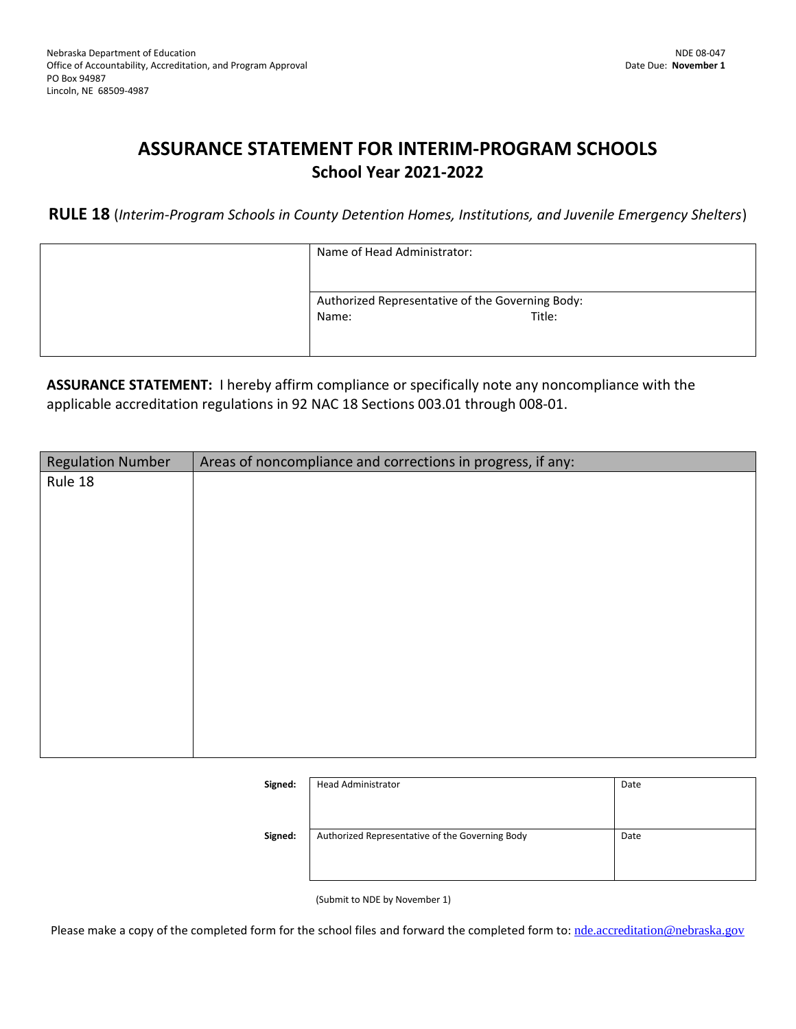# **ASSURANCE STATEMENT FOR INTERIM-PROGRAM SCHOOLS School Year 2021-2022**

**RULE 18** (*Interim-Program Schools in County Detention Homes, Institutions, and Juvenile Emergency Shelters*)

| Name of Head Administrator:                      |  |
|--------------------------------------------------|--|
|                                                  |  |
| Authorized Representative of the Governing Body: |  |
| Title:<br>Name:                                  |  |
|                                                  |  |
|                                                  |  |

**ASSURANCE STATEMENT:** I hereby affirm compliance or specifically note any noncompliance with the applicable accreditation regulations in 92 NAC 18 Sections 003.01 through 008-01.

| <b>Regulation Number</b> | Areas of noncompliance and corrections in progress, if any: |
|--------------------------|-------------------------------------------------------------|
| Rule 18                  |                                                             |
|                          |                                                             |
|                          |                                                             |
|                          |                                                             |
|                          |                                                             |
|                          |                                                             |
|                          |                                                             |
|                          |                                                             |
|                          |                                                             |
|                          |                                                             |
|                          |                                                             |
|                          |                                                             |
|                          |                                                             |
|                          |                                                             |

| Signed: | <b>Head Administrator</b>                       | Date |
|---------|-------------------------------------------------|------|
| Signed: | Authorized Representative of the Governing Body | Date |
|         |                                                 |      |

(Submit to NDE by November 1)

Please make a copy of the completed form for the school files and forward the completed form to: [nde.accreditation@nebraska.gov](mailto:nde.accreditation@nebraska.gov)